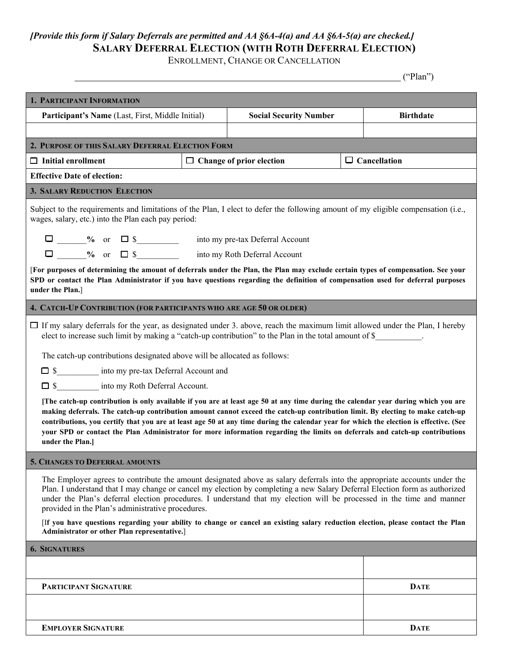## *[Provide this form if Salary Deferrals are permitted and AA §6A-4(a) and AA §6A-5(a) are checked.]*  **SALARY DEFERRAL ELECTION (WITH ROTH DEFERRAL ELECTION)**

ENROLLMENT, CHANGE OR CANCELLATION

|                                                                                                                                                                                                                                                                                                                                                                                                                                                                                                                                                                   |  |                                                        |  | ("Plan")         |
|-------------------------------------------------------------------------------------------------------------------------------------------------------------------------------------------------------------------------------------------------------------------------------------------------------------------------------------------------------------------------------------------------------------------------------------------------------------------------------------------------------------------------------------------------------------------|--|--------------------------------------------------------|--|------------------|
| 1. PARTICIPANT INFORMATION                                                                                                                                                                                                                                                                                                                                                                                                                                                                                                                                        |  |                                                        |  |                  |
| Participant's Name (Last, First, Middle Initial)                                                                                                                                                                                                                                                                                                                                                                                                                                                                                                                  |  | <b>Social Security Number</b>                          |  | <b>Birthdate</b> |
|                                                                                                                                                                                                                                                                                                                                                                                                                                                                                                                                                                   |  |                                                        |  |                  |
| 2. PURPOSE OF THIS SALARY DEFERRAL ELECTION FORM                                                                                                                                                                                                                                                                                                                                                                                                                                                                                                                  |  |                                                        |  |                  |
| $\Box$ Initial enrollment                                                                                                                                                                                                                                                                                                                                                                                                                                                                                                                                         |  | $\Box$ Cancellation<br>$\Box$ Change of prior election |  |                  |
| <b>Effective Date of election:</b>                                                                                                                                                                                                                                                                                                                                                                                                                                                                                                                                |  |                                                        |  |                  |
| <b>3. SALARY REDUCTION ELECTION</b>                                                                                                                                                                                                                                                                                                                                                                                                                                                                                                                               |  |                                                        |  |                  |
| Subject to the requirements and limitations of the Plan, I elect to defer the following amount of my eligible compensation (i.e.,<br>wages, salary, etc.) into the Plan each pay period:                                                                                                                                                                                                                                                                                                                                                                          |  |                                                        |  |                  |
| $\Box$ % or $\Box$ \$<br>into my pre-tax Deferral Account                                                                                                                                                                                                                                                                                                                                                                                                                                                                                                         |  |                                                        |  |                  |
| $\Box$ $\qquad\qquad\%$ or $\Box$ \$<br>into my Roth Deferral Account                                                                                                                                                                                                                                                                                                                                                                                                                                                                                             |  |                                                        |  |                  |
| [For purposes of determining the amount of deferrals under the Plan, the Plan may exclude certain types of compensation. See your<br>SPD or contact the Plan Administrator if you have questions regarding the definition of compensation used for deferral purposes<br>under the Plan.]                                                                                                                                                                                                                                                                          |  |                                                        |  |                  |
| 4. CATCH-UP CONTRIBUTION (FOR PARTICIPANTS WHO ARE AGE 50 OR OLDER)                                                                                                                                                                                                                                                                                                                                                                                                                                                                                               |  |                                                        |  |                  |
| $\Box$ If my salary deferrals for the year, as designated under 3. above, reach the maximum limit allowed under the Plan, I hereby<br>elect to increase such limit by making a "catch-up contribution" to the Plan in the total amount of \$<br>The catch-up contributions designated above will be allocated as follows:                                                                                                                                                                                                                                         |  |                                                        |  |                  |
| S <sub>___</sub> __________ into my pre-tax Deferral Account and                                                                                                                                                                                                                                                                                                                                                                                                                                                                                                  |  |                                                        |  |                  |
| into my Roth Deferral Account.<br>$\square$ \$                                                                                                                                                                                                                                                                                                                                                                                                                                                                                                                    |  |                                                        |  |                  |
| [The catch-up contribution is only available if you are at least age 50 at any time during the calendar year during which you are<br>making deferrals. The catch-up contribution amount cannot exceed the catch-up contribution limit. By electing to make catch-up<br>contributions, you certify that you are at least age 50 at any time during the calendar year for which the election is effective. (See<br>your SPD or contact the Plan Administrator for more information regarding the limits on deferrals and catch-up contributions<br>under the Plan.] |  |                                                        |  |                  |
| <b>5. CHANGES TO DEFERRAL AMOUNTS</b>                                                                                                                                                                                                                                                                                                                                                                                                                                                                                                                             |  |                                                        |  |                  |
| The Employer agrees to contribute the amount designated above as salary deferrals into the appropriate accounts under the<br>Plan. I understand that I may change or cancel my election by completing a new Salary Deferral Election form as authorized<br>under the Plan's deferral election procedures. I understand that my election will be processed in the time and manner<br>provided in the Plan's administrative procedures.                                                                                                                             |  |                                                        |  |                  |
| [If you have questions regarding your ability to change or cancel an existing salary reduction election, please contact the Plan<br>Administrator or other Plan representative.]                                                                                                                                                                                                                                                                                                                                                                                  |  |                                                        |  |                  |
| <b>6. SIGNATURES</b>                                                                                                                                                                                                                                                                                                                                                                                                                                                                                                                                              |  |                                                        |  |                  |
|                                                                                                                                                                                                                                                                                                                                                                                                                                                                                                                                                                   |  |                                                        |  |                  |
| PARTICIPANT SIGNATURE                                                                                                                                                                                                                                                                                                                                                                                                                                                                                                                                             |  |                                                        |  | <b>DATE</b>      |
|                                                                                                                                                                                                                                                                                                                                                                                                                                                                                                                                                                   |  |                                                        |  |                  |
| <b>EMPLOYER SIGNATURE</b>                                                                                                                                                                                                                                                                                                                                                                                                                                                                                                                                         |  |                                                        |  | <b>DATE</b>      |
|                                                                                                                                                                                                                                                                                                                                                                                                                                                                                                                                                                   |  |                                                        |  |                  |